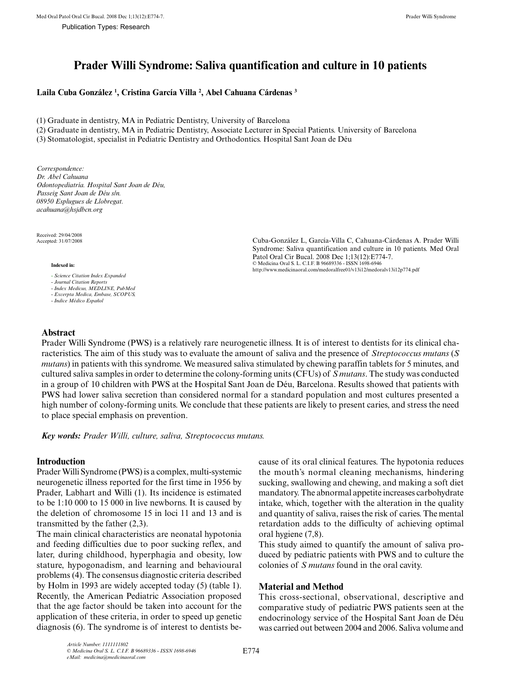# **Prader Willi Syndrome: Saliva quantification and culture in 10 patients**

# **Laila Cuba González 1 , Cristina García Villa 2 , Abel Cahuana Cárdenas 3**

(1) Graduate in dentistry, MA in Pediatric Dentistry, University of Barcelona

(2) Graduate in dentistry, MA in Pediatric Dentistry, Associate Lecturer in Special Patients. University of Barcelona

(3) Stomatologist, specialist in Pediatric Dentistry and Orthodontics. Hospital Sant Joan de Déu

*Correspondence: Dr. Abel Cahuana Odontopediatría. Hospital Sant Joan de Déu, Passeig Sant Joan de Déu s/n. 08950 Esplugues de Llobregat. acahuana@hsjdbcn.org*

Received: 29/04/2008<br>Accented: 31/07/2008

#### **Indexed in:**

- *Science Citation Index Expanded*
- *Journal Citation Reports - Index Medicus, MEDLINE, PubMed*
- *Excerpta Medica, Embase, SCOPUS,*
- *Indice Médico Español*

Cuba-González L, García-Villa C, Cahuana-Cárdenas A. Prader Willi Syndrome: Saliva quantification and culture in 10 patients. Med Oral Patol Oral Cir Bucal. 2008 Dec 1;13(12):E774-7. © Medicina Oral S. L. C.I.F. B 96689336 - ISSN 1698-6946 http://www.medicinaoral.com/medoralfree01/v13i12/medoralv13i12p774.pdf

# **Abstract**

Prader Willi Syndrome (PWS) is a relatively rare neurogenetic illness. It is of interest to dentists for its clinical characteristics. The aim of this study was to evaluate the amount of saliva and the presence of *Streptococcus mutans* (*S mutans*) in patients with this syndrome. We measured saliva stimulated by chewing paraffin tablets for 5 minutes, and cultured saliva samples in order to determine the colony-forming units (CFUs) of *S mutans*. The study was conducted in a group of 10 children with PWS at the Hospital Sant Joan de Déu, Barcelona. Results showed that patients with PWS had lower saliva secretion than considered normal for a standard population and most cultures presented a high number of colony-forming units. We conclude that these patients are likely to present caries, and stress the need to place special emphasis on prevention.

*Key words: Prader Willi, culture, saliva, Streptococcus mutans.*

# **Introduction**

Prader Willi Syndrome (PWS) is a complex, multi-systemic neurogenetic illness reported for the first time in 1956 by Prader, Labhart and Willi (1). Its incidence is estimated to be 1:10 000 to 15 000 in live newborns. It is caused by the deletion of chromosome 15 in loci 11 and 13 and is transmitted by the father (2,3).

The main clinical characteristics are neonatal hypotonia and feeding difficulties due to poor sucking reflex, and later, during childhood, hyperphagia and obesity, low stature, hypogonadism, and learning and behavioural problems (4). The consensus diagnostic criteria described by Holm in 1993 are widely accepted today (5) (table 1). Recently, the American Pediatric Association proposed that the age factor should be taken into account for the application of these criteria, in order to speed up genetic diagnosis (6). The syndrome is of interest to dentists because of its oral clinical features. The hypotonia reduces the mouth's normal cleaning mechanisms, hindering sucking, swallowing and chewing, and making a soft diet mandatory. The abnormal appetite increases carbohydrate intake, which, together with the alteration in the quality and quantity of saliva, raises the risk of caries. The mental retardation adds to the difficulty of achieving optimal oral hygiene (7,8).

This study aimed to quantify the amount of saliva produced by pediatric patients with PWS and to culture the colonies of *S mutans* found in the oral cavity.

# **Material and Method**

This cross-sectional, observational, descriptive and comparative study of pediatric PWS patients seen at the endocrinology service of the Hospital Sant Joan de Déu was carried out between 2004 and 2006. Saliva volume and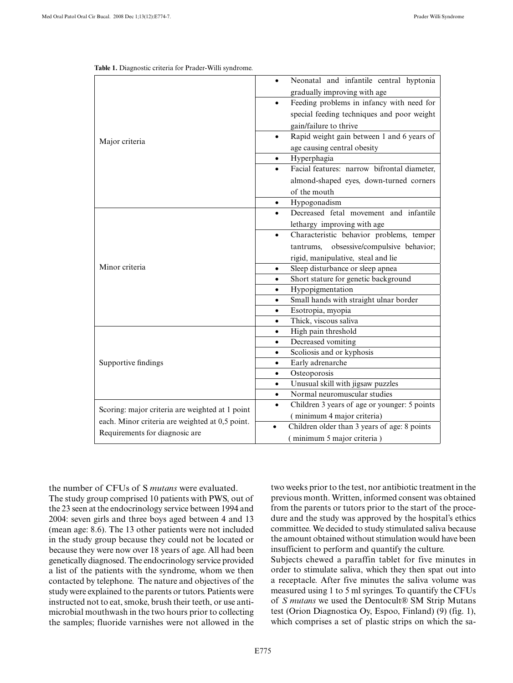| Major criteria                                                                                                                       | Neonatal and infantile central hyptonia                   |
|--------------------------------------------------------------------------------------------------------------------------------------|-----------------------------------------------------------|
|                                                                                                                                      | gradually improving with age                              |
|                                                                                                                                      | Feeding problems in infancy with need for                 |
|                                                                                                                                      | special feeding techniques and poor weight                |
|                                                                                                                                      | gain/failure to thrive                                    |
|                                                                                                                                      | Rapid weight gain between 1 and 6 years of<br>$\bullet$   |
|                                                                                                                                      | age causing central obesity                               |
|                                                                                                                                      | Hyperphagia<br>$\bullet$                                  |
|                                                                                                                                      | Facial features: narrow bifrontal diameter,               |
|                                                                                                                                      | almond-shaped eyes, down-turned corners                   |
|                                                                                                                                      | of the mouth                                              |
|                                                                                                                                      | Hypogonadism<br>$\bullet$                                 |
|                                                                                                                                      | Decreased fetal movement and infantile<br>$\bullet$       |
| Minor criteria                                                                                                                       | lethargy improving with age                               |
|                                                                                                                                      | Characteristic behavior problems, temper<br>$\bullet$     |
|                                                                                                                                      | obsessive/compulsive behavior;<br>tantrums,               |
|                                                                                                                                      | rigid, manipulative, steal and lie                        |
|                                                                                                                                      | Sleep disturbance or sleep apnea<br>$\bullet$             |
|                                                                                                                                      | Short stature for genetic background<br>$\bullet$         |
|                                                                                                                                      | Hypopigmentation<br>$\bullet$                             |
|                                                                                                                                      | Small hands with straight ulnar border<br>$\bullet$       |
|                                                                                                                                      | Esotropia, myopia<br>$\bullet$                            |
|                                                                                                                                      | Thick, viscous saliva<br>$\bullet$                        |
| Supportive findings                                                                                                                  | High pain threshold<br>$\bullet$                          |
|                                                                                                                                      | Decreased vomiting<br>$\bullet$                           |
|                                                                                                                                      | Scoliosis and or kyphosis<br>$\bullet$                    |
|                                                                                                                                      | Early adrenarche<br>$\bullet$                             |
|                                                                                                                                      | Osteoporosis<br>$\bullet$                                 |
|                                                                                                                                      | Unusual skill with jigsaw puzzles<br>$\bullet$            |
|                                                                                                                                      | Normal neuromuscular studies<br>$\bullet$                 |
| Scoring: major criteria are weighted at 1 point<br>each. Minor criteria are weighted at 0,5 point.<br>Requirements for diagnosic are | Children 3 years of age or younger: 5 points              |
|                                                                                                                                      | (minimum 4 major criteria)                                |
|                                                                                                                                      | Children older than 3 years of age: 8 points<br>$\bullet$ |
|                                                                                                                                      | (minimum 5 major criteria)                                |

| Table 1. Diagnostic criteria for Prader-Willi syndrome. |  |
|---------------------------------------------------------|--|
|---------------------------------------------------------|--|

the number of CFUs of S *mutans* were evaluated.

The study group comprised 10 patients with PWS, out of the 23 seen at the endocrinology service between 1994 and 2004: seven girls and three boys aged between 4 and 13 (mean age: 8.6). The 13 other patients were not included in the study group because they could not be located or because they were now over 18 years of age. All had been genetically diagnosed. The endocrinology service provided a list of the patients with the syndrome, whom we then contacted by telephone. The nature and objectives of the study were explained to the parents or tutors. Patients were instructed not to eat, smoke, brush their teeth, or use antimicrobial mouthwash in the two hours prior to collecting the samples; fluoride varnishes were not allowed in the two weeks prior to the test, nor antibiotic treatment in the previous month. Written, informed consent was obtained from the parents or tutors prior to the start of the procedure and the study was approved by the hospital's ethics committee. We decided to study stimulated saliva because the amount obtained without stimulation would have been insufficient to perform and quantify the culture.

Subjects chewed a paraffin tablet for five minutes in order to stimulate saliva, which they then spat out into a receptacle. After five minutes the saliva volume was measured using 1 to 5 ml syringes. To quantify the CFUs of *S mutans* we used the Dentocult® SM Strip Mutans test (Orion Diagnostica Oy, Espoo, Finland) (9) (fig. 1), which comprises a set of plastic strips on which the sa-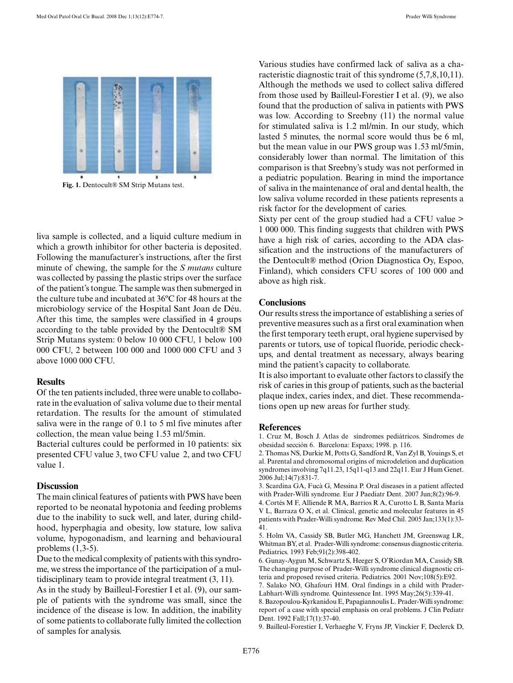

**Fig. 1.** Dentocult® SM Strip Mutans test.

liva sample is collected, and a liquid culture medium in which a growth inhibitor for other bacteria is deposited. Following the manufacturer's instructions, after the first minute of chewing, the sample for the *S mutans* culture was collected by passing the plastic strips over the surface of the patient's tongue. The sample was then submerged in the culture tube and incubated at 36ºC for 48 hours at the microbiology service of the Hospital Sant Joan de Déu. After this time, the samples were classified in 4 groups according to the table provided by the Dentocult® SM Strip Mutans system: 0 below 10 000 CFU, 1 below 100 000 CFU, 2 between 100 000 and 1000 000 CFU and 3 above 1000 000 CFU.

### **Results**

Of the ten patients included, three were unable to collaborate in the evaluation of saliva volume due to their mental retardation. The results for the amount of stimulated saliva were in the range of 0.1 to 5 ml five minutes after collection, the mean value being 1.53 ml/5min.

Bacterial cultures could be performed in 10 patients: six presented CFU value 3, two CFU value 2, and two CFU value 1.

#### **Discussion**

The main clinical features of patients with PWS have been reported to be neonatal hypotonia and feeding problems due to the inability to suck well, and later, during childhood, hyperphagia and obesity, low stature, low saliva volume, hypogonadism, and learning and behavioural problems (1,3-5).

Due to the medical complexity of patients with this syndrome, we stress the importance of the participation of a multidisciplinary team to provide integral treatment (3, 11).

As in the study by Bailleul-Forestier I et al. (9), our sample of patients with the syndrome was small, since the incidence of the disease is low. In addition, the inability of some patients to collaborate fully limited the collection of samples for analysis.

Various studies have confirmed lack of saliva as a characteristic diagnostic trait of this syndrome (5,7,8,10,11). Although the methods we used to collect saliva differed from those used by Bailleul-Forestier I et al. (9), we also found that the production of saliva in patients with PWS was low. According to Sreebny (11) the normal value for stimulated saliva is 1.2 ml/min. In our study, which lasted 5 minutes, the normal score would thus be 6 ml, but the mean value in our PWS group was 1.53 ml/5min, considerably lower than normal. The limitation of this comparison is that Sreebny's study was not performed in a pediatric population. Bearing in mind the importance of saliva in the maintenance of oral and dental health, the low saliva volume recorded in these patients represents a risk factor for the development of caries.

Sixty per cent of the group studied had a CFU value > 1 000 000. This finding suggests that children with PWS have a high risk of caries, according to the ADA classification and the instructions of the manufacturers of the Dentocult® method (Orion Diagnostica Oy, Espoo, Finland), which considers CFU scores of 100 000 and above as high risk.

#### **Conclusions**

Our results stress the importance of establishing a series of preventive measures such as a first oral examination when the first temporary teeth erupt, oral hygiene supervised by parents or tutors, use of topical fluoride, periodic checkups, and dental treatment as necessary, always bearing mind the patient's capacity to collaborate.

It is also important to evaluate other factors to classify the risk of caries in this group of patients, such as the bacterial plaque index, caries index, and diet. These recommendations open up new areas for further study.

#### **References**

1. Cruz M, Bosch J. Atlas de síndromes pediátricos. Síndromes de obesidad sección 6. Barcelona: Espaxs; 1998. p. 116.

2. Thomas NS, Durkie M, Potts G, Sandford R, Van Zyl B, Youings S, et al. Parental and chromosomal origins of microdeletion and duplication syndromes involving 7q11.23, 15q11-q13 and 22q11. Eur J Hum Genet. 2006 Jul;14(7):831-7.

3. Scardina GA, Fucà G, Messina P. Oral diseases in a patient affected with Prader-Willi syndrome. Eur J Paediatr Dent. 2007 Jun;8(2):96-9.

4. Cortés M F, Alliende R MA, Barrios R A, Curotto L B, Santa María V L, Barraza O X, et al. Clinical, genetic and molecular features in 45 patients with Prader-Willi syndrome. Rev Med Chil. 2005 Jan;133(1):33- 41.

5. Holm VA, Cassidy SB, Butler MG, Hanchett JM, Greenswag LR, Whitman BY, et al. Prader-Willi syndrome: consensus diagnostic criteria. Pediatrics. 1993 Feb;91(2):398-402.

6. Gunay-Aygun M, Schwartz S, Heeger S, O'Riordan MA, Cassidy SB. The changing purpose of Prader-Willi syndrome clinical diagnostic criteria and proposed revised criteria. Pediatrics. 2001 Nov;108(5):E92.

7. Salako NO, Ghafouri HM. Oral findings in a child with Prader-Labhart-Willi syndrome. Quintessence Int. 1995 May;26(5):339-41.

8. Bazopoulou-Kyrkanidou E, Papagiannoulis L. Prader-Willi syndrome: report of a case with special emphasis on oral problems. J Clin Pediatr Dent. 1992 Fall;17(1):37-40.

9. Bailleul-Forestier I, Verhaeghe V, Fryns JP, Vinckier F, Declerck D,